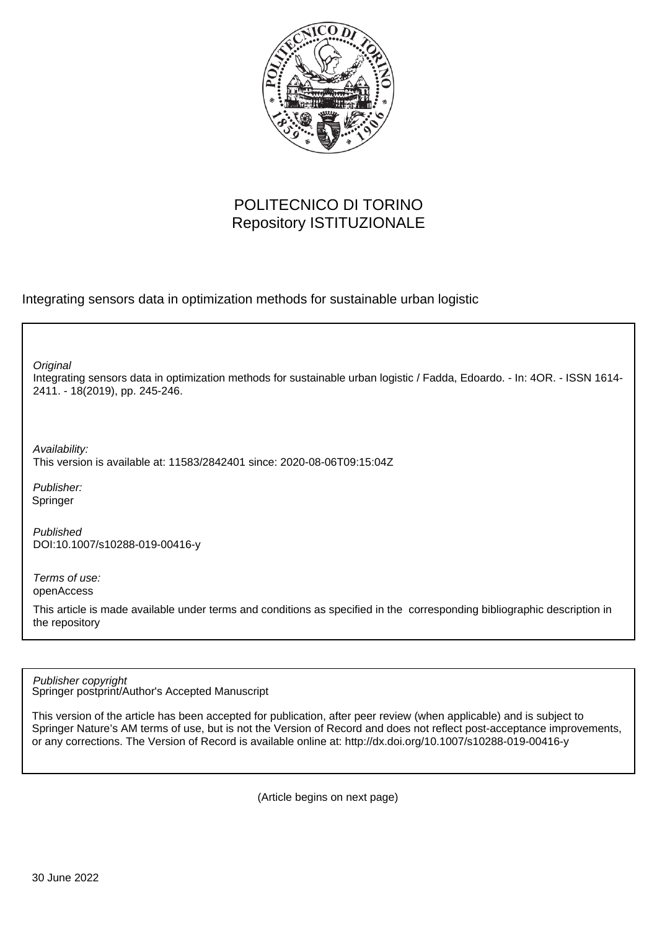

## POLITECNICO DI TORINO Repository ISTITUZIONALE

Integrating sensors data in optimization methods for sustainable urban logistic

**Original** 

Integrating sensors data in optimization methods for sustainable urban logistic / Fadda, Edoardo. - In: 4OR. - ISSN 1614- 2411. - 18(2019), pp. 245-246.

Availability: This version is available at: 11583/2842401 since: 2020-08-06T09:15:04Z

Publisher: Springer

Published DOI:10.1007/s10288-019-00416-y

Terms of use: openAccess

This article is made available under terms and conditions as specified in the corresponding bibliographic description in the repository

Springer postprint/Author's Accepted Manuscript Publisher copyright

This version of the article has been accepted for publication, after peer review (when applicable) and is subject to Springer Nature's AM terms of use, but is not the Version of Record and does not reflect post-acceptance improvements, or any corrections. The Version of Record is available online at: http://dx.doi.org/10.1007/s10288-019-00416-y

(Article begins on next page)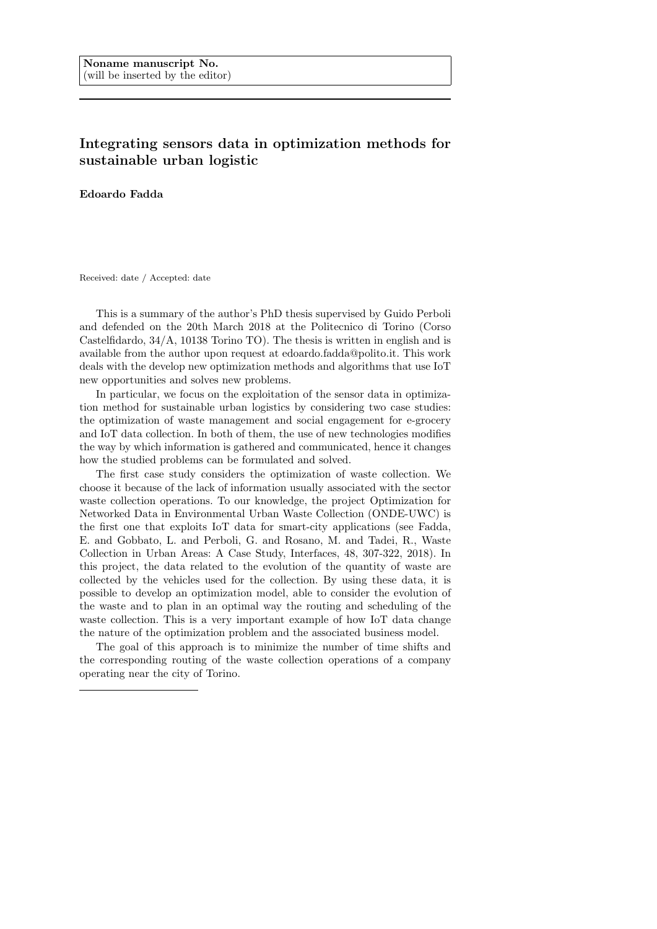## Integrating sensors data in optimization methods for sustainable urban logistic

Edoardo Fadda

Received: date / Accepted: date

This is a summary of the author's PhD thesis supervised by Guido Perboli and defended on the 20th March 2018 at the Politecnico di Torino (Corso Castelfidardo, 34/A, 10138 Torino TO). The thesis is written in english and is available from the author upon request at edoardo.fadda@polito.it. This work deals with the develop new optimization methods and algorithms that use IoT new opportunities and solves new problems.

In particular, we focus on the exploitation of the sensor data in optimization method for sustainable urban logistics by considering two case studies: the optimization of waste management and social engagement for e-grocery and IoT data collection. In both of them, the use of new technologies modifies the way by which information is gathered and communicated, hence it changes how the studied problems can be formulated and solved.

The first case study considers the optimization of waste collection. We choose it because of the lack of information usually associated with the sector waste collection operations. To our knowledge, the project Optimization for Networked Data in Environmental Urban Waste Collection (ONDE-UWC) is the first one that exploits IoT data for smart-city applications (see Fadda, E. and Gobbato, L. and Perboli, G. and Rosano, M. and Tadei, R., Waste Collection in Urban Areas: A Case Study, Interfaces, 48, 307-322, 2018). In this project, the data related to the evolution of the quantity of waste are collected by the vehicles used for the collection. By using these data, it is possible to develop an optimization model, able to consider the evolution of the waste and to plan in an optimal way the routing and scheduling of the waste collection. This is a very important example of how IoT data change the nature of the optimization problem and the associated business model.

The goal of this approach is to minimize the number of time shifts and the corresponding routing of the waste collection operations of a company operating near the city of Torino.